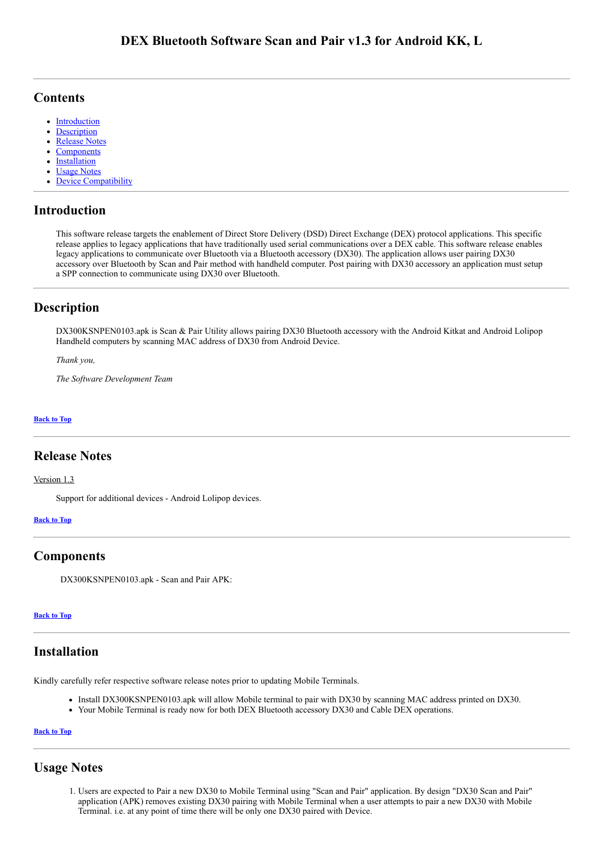# <span id="page-0-6"></span>**Contents**

- **[Introduction](#page-0-0)**  $\bullet$
- [Description](#page-0-1)
- [Release Notes](#page-0-2)
- **[Components](#page-0-3)**
- **[Installation](#page-0-4)**
- [Usage Notes](#page-0-5)
- [Device Compatibility](#page-1-0)

# <span id="page-0-0"></span>Introduction

This software release targets the enablement of Direct Store Delivery (DSD) Direct Exchange (DEX) protocol applications. This specific release applies to legacy applications that have traditionally used serial communications over a DEX cable. This software release enables legacy applications to communicate over Bluetooth via a Bluetooth accessory (DX30). The application allows user pairing DX30 accessory over Bluetooth by Scan and Pair method with handheld computer. Post pairing with DX30 accessory an application must setup a SPP connection to communicate using DX30 over Bluetooth.

# <span id="page-0-1"></span>Description

DX300KSNPEN0103.apk is Scan & Pair Utility allows pairing DX30 Bluetooth accessory with the Android Kitkat and Android Lolipop Handheld computers by scanning MAC address of DX30 from Android Device.

*Thank you,*

*The Software Development Team*

### [Back](#page-0-6) to Top

# <span id="page-0-2"></span>Release Notes

### Version 1.3

Support for additional devices - Android Lolipop devices.

#### [Back](#page-0-6) to Top

# <span id="page-0-3"></span>Components

DX300KSNPEN0103.apk - Scan and Pair APK:

#### [Back](#page-0-6) to Top

# <span id="page-0-4"></span>Installation

Kindly carefully refer respective software release notes prior to updating Mobile Terminals.

- Install DX300KSNPEN0103.apk will allow Mobile terminal to pair with DX30 by scanning MAC address printed on DX30.
- Your Mobile Terminal is ready now for both DEX Bluetooth accessory DX30 and Cable DEX operations.

### [Back](#page-0-6) to Top

# <span id="page-0-5"></span>Usage Notes

1. Users are expected to Pair a new DX30 to Mobile Terminal using "Scan and Pair" application. By design "DX30 Scan and Pair" application (APK) removes existing DX30 pairing with Mobile Terminal when a user attempts to pair a new DX30 with Mobile Terminal. i.e. at any point of time there will be only one DX30 paired with Device.